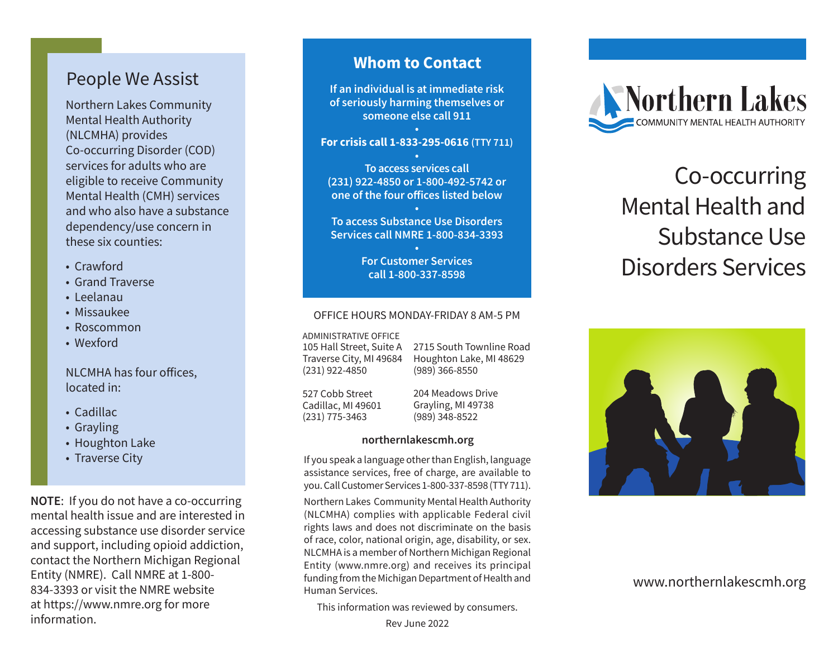# People We Assist

Northern Lakes Community Mental Health Authority (NLCMHA) provides Co-occurring Disorder (COD) services for adults who are eligible to receive Community Mental Health (CMH) services and who also have a substance dependency/use concern in these six counties:

- Crawford
- Grand Traverse
- Leelanau
- Missaukee
- Roscommon
- Wexford

NLCMHA has four offices, located in:

- Cadillac
- Grayling
- Houghton Lake
- Traverse City

**NOTE**: If you do not have a co-occurring mental health issue and are interested in accessing substance use disorder service and support, including opioid addiction, contact the Northern Michigan Regional Entity (NMRE). Call NMRE at 1-800- 834-3393 or visit the NMRE website at https://www.nmre.org for more information.

# **Whom to Contact**

**If an individual is at immediate risk of seriously harming themselves or someone else call 911 •**

### **For crisis call 1-833-295-0616 (TTY 711)**

**• To access services call (231) 922-4850 or 1-800-492-5742 or one of the four offices listed below**

**• To access Substance Use Disorders Services call NMRE 1-800-834-3393**

> **• For Customer Services call 1-800-337-8598**

#### OFFICE HOURS MONDAY-FRIDAY 8 AM-5 PM

ADMINISTRATIVE OFFICE

105 Hall Street, Suite A Traverse City, MI 49684 (231) 922-4850

2715 South Townline Road Houghton Lake, MI 48629 (989) 366-8550

527 Cobb Street Cadillac, MI 49601 (231) 775-3463

204 Meadows Drive Grayling, MI 49738 (989) 348-8522

#### **northernlakescmh.org**

If you speak a language other than English, language assistance services, free of charge, are available to you. Call Customer Services 1-800-337-8598 (TTY 711).

Northern Lakes Community Mental Health Authority (NLCMHA) complies with applicable Federal civil rights laws and does not discriminate on the basis of race, color, national origin, age, disability, or sex. NLCMHA is a member of Northern Michigan Regional Entity (www.nmre.org) and receives its principal funding from the Michigan Department of Health and Human Services.

This information was reviewed by consumers.



# Co-occurring Mental Health and Substance Use Disorders Services



www.northernlakescmh.org